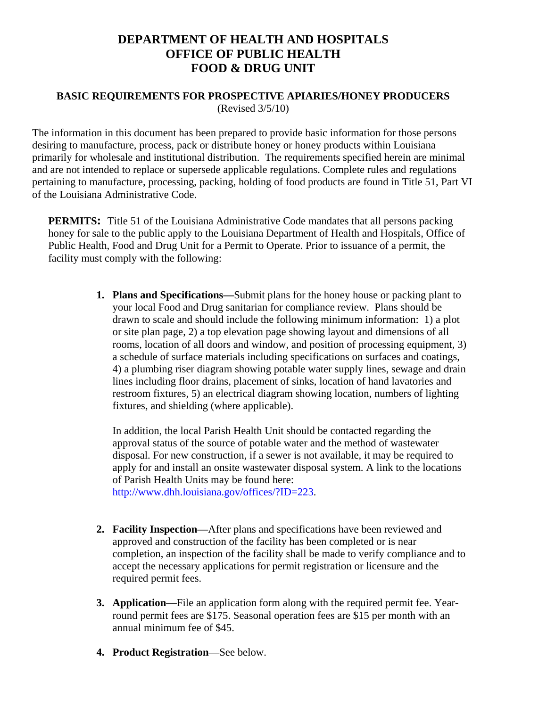## **DEPARTMENT OF HEALTH AND HOSPITALS OFFICE OF PUBLIC HEALTH FOOD & DRUG UNIT**

## **BASIC REQUIREMENTS FOR PROSPECTIVE APIARIES/HONEY PRODUCERS**  (Revised 3/5/10)

The information in this document has been prepared to provide basic information for those persons desiring to manufacture, process, pack or distribute honey or honey products within Louisiana primarily for wholesale and institutional distribution. The requirements specified herein are minimal and are not intended to replace or supersede applicable regulations. Complete rules and regulations pertaining to manufacture, processing, packing, holding of food products are found in Title 51, Part VI of the Louisiana Administrative Code.

**PERMITS:** Title 51 of the Louisiana Administrative Code mandates that all persons packing honey for sale to the public apply to the Louisiana Department of Health and Hospitals, Office of Public Health, Food and Drug Unit for a Permit to Operate. Prior to issuance of a permit, the facility must comply with the following:

> **1. Plans and Specifications—**Submit plans for the honey house or packing plant to your local Food and Drug sanitarian for compliance review. Plans should be drawn to scale and should include the following minimum information: 1) a plot or site plan page, 2) a top elevation page showing layout and dimensions of all rooms, location of all doors and window, and position of processing equipment, 3) a schedule of surface materials including specifications on surfaces and coatings, 4) a plumbing riser diagram showing potable water supply lines, sewage and drain lines including floor drains, placement of sinks, location of hand lavatories and restroom fixtures, 5) an electrical diagram showing location, numbers of lighting fixtures, and shielding (where applicable).

In addition, the local Parish Health Unit should be contacted regarding the approval status of the source of potable water and the method of wastewater disposal. For new construction, if a sewer is not available, it may be required to apply for and install an onsite wastewater disposal system. A link to the locations of Parish Health Units may be found here:

<http://www.dhh.louisiana.gov/offices/?ID=223>.

- **2. Facility Inspection—**After plans and specifications have been reviewed and approved and construction of the facility has been completed or is near completion, an inspection of the facility shall be made to verify compliance and to accept the necessary applications for permit registration or licensure and the required permit fees.
- **3. Application**—File an application form along with the required permit fee. Yearround permit fees are \$175. Seasonal operation fees are \$15 per month with an annual minimum fee of \$45.
- **4. Product Registration**—See below.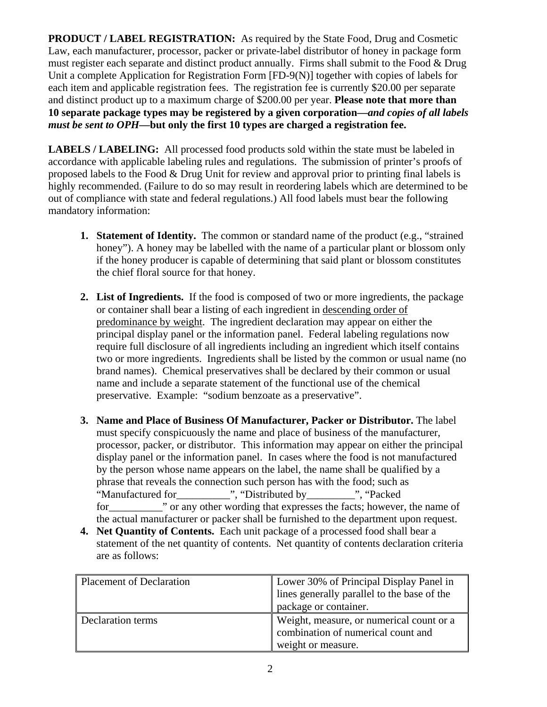**PRODUCT / LABEL REGISTRATION:** As required by the State Food, Drug and Cosmetic Law, each manufacturer, processor, packer or private-label distributor of honey in package form must register each separate and distinct product annually. Firms shall submit to the Food & Drug Unit a complete Application for Registration Form [FD-9(N)] together with copies of labels for each item and applicable registration fees. The registration fee is currently \$20.00 per separate and distinct product up to a maximum charge of \$200.00 per year. **Please note that more than 10 separate package types may be registered by a given corporation—***and copies of all labels must be sent to OPH***—but only the first 10 types are charged a registration fee.**

**LABELS / LABELING:** All processed food products sold within the state must be labeled in accordance with applicable labeling rules and regulations. The submission of printer's proofs of proposed labels to the Food & Drug Unit for review and approval prior to printing final labels is highly recommended. (Failure to do so may result in reordering labels which are determined to be out of compliance with state and federal regulations.) All food labels must bear the following mandatory information:

- **1. Statement of Identity.** The common or standard name of the product (e.g., "strained honey"). A honey may be labelled with the name of a particular plant or blossom only if the honey producer is capable of determining that said plant or blossom constitutes the chief floral source for that honey.
- **2. List of Ingredients.** If the food is composed of two or more ingredients, the package or container shall bear a listing of each ingredient in descending order of predominance by weight. The ingredient declaration may appear on either the principal display panel or the information panel. Federal labeling regulations now require full disclosure of all ingredients including an ingredient which itself contains two or more ingredients. Ingredients shall be listed by the common or usual name (no brand names). Chemical preservatives shall be declared by their common or usual name and include a separate statement of the functional use of the chemical preservative. Example: "sodium benzoate as a preservative".
- **3. Name and Place of Business Of Manufacturer, Packer or Distributor.** The label must specify conspicuously the name and place of business of the manufacturer, processor, packer, or distributor. This information may appear on either the principal display panel or the information panel. In cases where the food is not manufactured by the person whose name appears on the label, the name shall be qualified by a phrase that reveals the connection such person has with the food; such as "Manufactured for\_\_\_\_\_\_\_\_\_\_", "Distributed by\_\_\_\_\_\_\_\_\_", "Packed for for the many other wording that expresses the facts; however, the name of the actual manufacturer or packer shall be furnished to the department upon request.
- **4. Net Quantity of Contents.** Each unit package of a processed food shall bear a statement of the net quantity of contents. Net quantity of contents declaration criteria are as follows:

| <b>Placement of Declaration</b> | Lower 30% of Principal Display Panel in     |  |
|---------------------------------|---------------------------------------------|--|
|                                 | lines generally parallel to the base of the |  |
|                                 | package or container.                       |  |
| Declaration terms               | Weight, measure, or numerical count or a    |  |
|                                 | combination of numerical count and          |  |
|                                 | weight or measure.                          |  |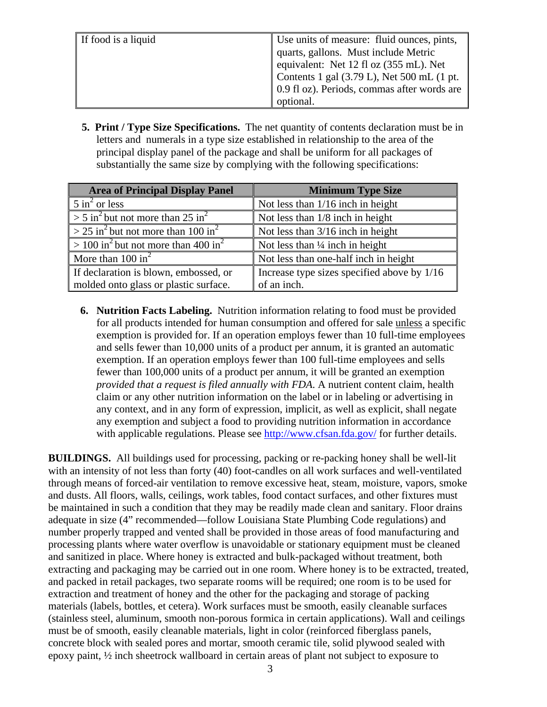| If food is a liquid | Use units of measure: fluid ounces, pints,  |
|---------------------|---------------------------------------------|
|                     | quarts, gallons. Must include Metric        |
|                     | equivalent: Net 12 fl oz (355 mL). Net      |
|                     | Contents 1 gal (3.79 L), Net 500 mL (1 pt.  |
|                     | 0.9 fl oz). Periods, commas after words are |
|                     | optional.                                   |

 **5. Print / Type Size Specifications.** The net quantity of contents declaration must be in letters and numerals in a type size established in relationship to the area of the principal display panel of the package and shall be uniform for all packages of substantially the same size by complying with the following specifications:

| <b>Area of Principal Display Panel</b>                              | <b>Minimum Type Size</b>                    |
|---------------------------------------------------------------------|---------------------------------------------|
| $\frac{1}{2}$ 5 in <sup>2</sup> or less                             | Not less than 1/16 inch in height           |
| $\sim$ 5 in <sup>2</sup> but not more than 25 in <sup>2</sup>       | Not less than $1/8$ inch in height          |
| $\sim$ 25 in <sup>2</sup> but not more than 100 in <sup>2</sup>     | Not less than $3/16$ inch in height         |
| $\sqrt{>100}$ in <sup>2</sup> but not more than 400 in <sup>2</sup> | Not less than $\frac{1}{4}$ inch in height  |
| More than $100 \text{ in}^2$                                        | Not less than one-half inch in height       |
| If declaration is blown, embossed, or                               | Increase type sizes specified above by 1/16 |
| molded onto glass or plastic surface.                               | of an inch.                                 |

**6. Nutrition Facts Labeling.** Nutrition information relating to food must be provided for all products intended for human consumption and offered for sale unless a specific exemption is provided for. If an operation employs fewer than 10 full-time employees and sells fewer than 10,000 units of a product per annum, it is granted an automatic exemption. If an operation employs fewer than 100 full-time employees and sells fewer than 100,000 units of a product per annum, it will be granted an exemption *provided that a request is filed annually with FDA*. A nutrient content claim, health claim or any other nutrition information on the label or in labeling or advertising in any context, and in any form of expression, implicit, as well as explicit, shall negate any exemption and subject a food to providing nutrition information in accordance with applicable regulations. Please see <http://www.cfsan.fda.gov/>for further details.

**BUILDINGS.** All buildings used for processing, packing or re-packing honey shall be well-lit with an intensity of not less than forty (40) foot-candles on all work surfaces and well-ventilated through means of forced-air ventilation to remove excessive heat, steam, moisture, vapors, smoke and dusts. All floors, walls, ceilings, work tables, food contact surfaces, and other fixtures must be maintained in such a condition that they may be readily made clean and sanitary. Floor drains adequate in size (4" recommended—follow Louisiana State Plumbing Code regulations) and number properly trapped and vented shall be provided in those areas of food manufacturing and processing plants where water overflow is unavoidable or stationary equipment must be cleaned and sanitized in place. Where honey is extracted and bulk-packaged without treatment, both extracting and packaging may be carried out in one room. Where honey is to be extracted, treated, and packed in retail packages, two separate rooms will be required; one room is to be used for extraction and treatment of honey and the other for the packaging and storage of packing materials (labels, bottles, et cetera). Work surfaces must be smooth, easily cleanable surfaces (stainless steel, aluminum, smooth non-porous formica in certain applications). Wall and ceilings must be of smooth, easily cleanable materials, light in color (reinforced fiberglass panels, concrete block with sealed pores and mortar, smooth ceramic tile, solid plywood sealed with epoxy paint, ½ inch sheetrock wallboard in certain areas of plant not subject to exposure to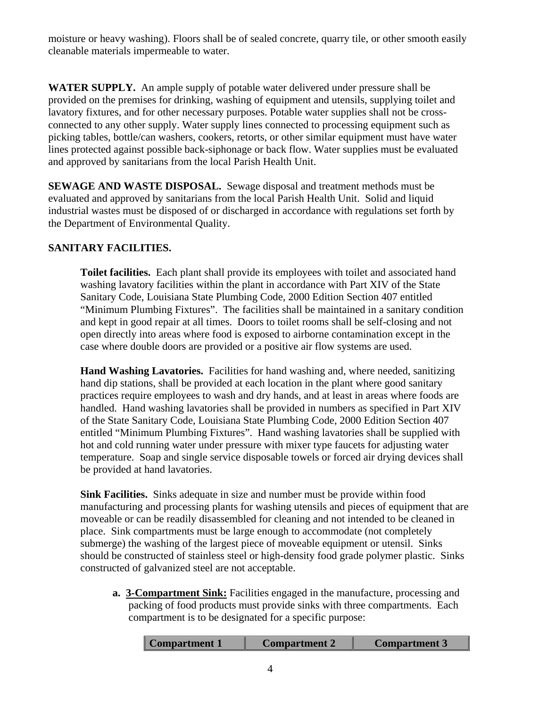moisture or heavy washing). Floors shall be of sealed concrete, quarry tile, or other smooth easily cleanable materials impermeable to water.

**WATER SUPPLY.** An ample supply of potable water delivered under pressure shall be provided on the premises for drinking, washing of equipment and utensils, supplying toilet and lavatory fixtures, and for other necessary purposes. Potable water supplies shall not be crossconnected to any other supply. Water supply lines connected to processing equipment such as picking tables, bottle/can washers, cookers, retorts, or other similar equipment must have water lines protected against possible back-siphonage or back flow. Water supplies must be evaluated and approved by sanitarians from the local Parish Health Unit.

**SEWAGE AND WASTE DISPOSAL.** Sewage disposal and treatment methods must be evaluated and approved by sanitarians from the local Parish Health Unit. Solid and liquid industrial wastes must be disposed of or discharged in accordance with regulations set forth by the Department of Environmental Quality.

## **SANITARY FACILITIES.**

**Toilet facilities.** Each plant shall provide its employees with toilet and associated hand washing lavatory facilities within the plant in accordance with Part XIV of the State Sanitary Code, Louisiana State Plumbing Code, 2000 Edition Section 407 entitled "Minimum Plumbing Fixtures". The facilities shall be maintained in a sanitary condition and kept in good repair at all times. Doors to toilet rooms shall be self-closing and not open directly into areas where food is exposed to airborne contamination except in the case where double doors are provided or a positive air flow systems are used.

**Hand Washing Lavatories.** Facilities for hand washing and, where needed, sanitizing hand dip stations, shall be provided at each location in the plant where good sanitary practices require employees to wash and dry hands, and at least in areas where foods are handled. Hand washing lavatories shall be provided in numbers as specified in Part XIV of the State Sanitary Code, Louisiana State Plumbing Code, 2000 Edition Section 407 entitled "Minimum Plumbing Fixtures". Hand washing lavatories shall be supplied with hot and cold running water under pressure with mixer type faucets for adjusting water temperature. Soap and single service disposable towels or forced air drying devices shall be provided at hand lavatories.

**Sink Facilities.** Sinks adequate in size and number must be provide within food manufacturing and processing plants for washing utensils and pieces of equipment that are moveable or can be readily disassembled for cleaning and not intended to be cleaned in place. Sink compartments must be large enough to accommodate (not completely submerge) the washing of the largest piece of moveable equipment or utensil. Sinks should be constructed of stainless steel or high-density food grade polymer plastic. Sinks constructed of galvanized steel are not acceptable.

**a. 3-Compartment Sink:** Facilities engaged in the manufacture, processing and packing of food products must provide sinks with three compartments. Each compartment is to be designated for a specific purpose:

| <b>Compartment 3</b> | Compartment 1 | Compartment 2 |  |
|----------------------|---------------|---------------|--|
|----------------------|---------------|---------------|--|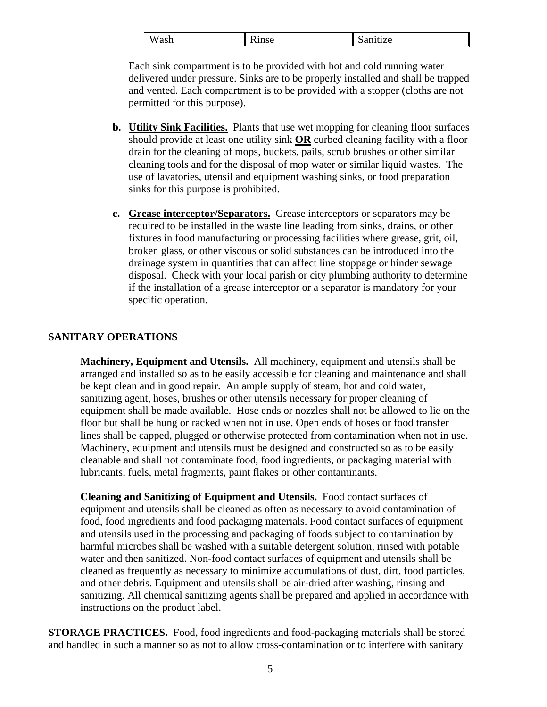| $\mathsf{I} \mathsf{W}$<br>ash | - 1<br>1nca<br>$\mathbf{u}$ | Sanitize |
|--------------------------------|-----------------------------|----------|
|                                |                             |          |

Each sink compartment is to be provided with hot and cold running water delivered under pressure. Sinks are to be properly installed and shall be trapped and vented. Each compartment is to be provided with a stopper (cloths are not permitted for this purpose).

- **b. Utility Sink Facilities.** Plants that use wet mopping for cleaning floor surfaces should provide at least one utility sink **OR** curbed cleaning facility with a floor drain for the cleaning of mops, buckets, pails, scrub brushes or other similar cleaning tools and for the disposal of mop water or similar liquid wastes. The use of lavatories, utensil and equipment washing sinks, or food preparation sinks for this purpose is prohibited.
- **c. Grease interceptor/Separators.** Grease interceptors or separators may be required to be installed in the waste line leading from sinks, drains, or other fixtures in food manufacturing or processing facilities where grease, grit, oil, broken glass, or other viscous or solid substances can be introduced into the drainage system in quantities that can affect line stoppage or hinder sewage disposal. Check with your local parish or city plumbing authority to determine if the installation of a grease interceptor or a separator is mandatory for your specific operation.

## **SANITARY OPERATIONS**

**Machinery, Equipment and Utensils.** All machinery, equipment and utensils shall be arranged and installed so as to be easily accessible for cleaning and maintenance and shall be kept clean and in good repair. An ample supply of steam, hot and cold water, sanitizing agent, hoses, brushes or other utensils necessary for proper cleaning of equipment shall be made available. Hose ends or nozzles shall not be allowed to lie on the floor but shall be hung or racked when not in use. Open ends of hoses or food transfer lines shall be capped, plugged or otherwise protected from contamination when not in use. Machinery, equipment and utensils must be designed and constructed so as to be easily cleanable and shall not contaminate food, food ingredients, or packaging material with lubricants, fuels, metal fragments, paint flakes or other contaminants.

**Cleaning and Sanitizing of Equipment and Utensils.** Food contact surfaces of equipment and utensils shall be cleaned as often as necessary to avoid contamination of food, food ingredients and food packaging materials. Food contact surfaces of equipment and utensils used in the processing and packaging of foods subject to contamination by harmful microbes shall be washed with a suitable detergent solution, rinsed with potable water and then sanitized. Non-food contact surfaces of equipment and utensils shall be cleaned as frequently as necessary to minimize accumulations of dust, dirt, food particles, and other debris. Equipment and utensils shall be air-dried after washing, rinsing and sanitizing. All chemical sanitizing agents shall be prepared and applied in accordance with instructions on the product label.

**STORAGE PRACTICES.** Food, food ingredients and food-packaging materials shall be stored and handled in such a manner so as not to allow cross-contamination or to interfere with sanitary